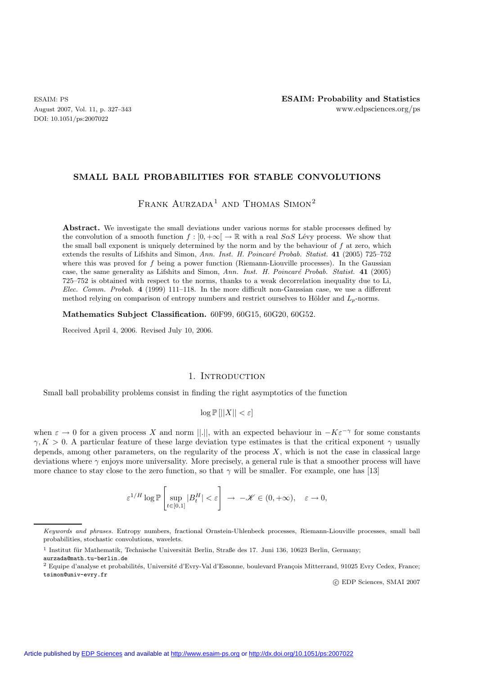DOI: 10.1051/ps:2007022

# **SMALL BALL PROBABILITIES FOR STABLE CONVOLUTIONS**

FRANK  $AURZADA<sup>1</sup>$  and Thomas Simon<sup>2</sup>

Abstract. We investigate the small deviations under various norms for stable processes defined by the convolution of a smooth function  $f : [0, +\infty] \to \mathbb{R}$  with a real  $S \alpha S$  Lévy process. We show that the small ball exponent is uniquely determined by the norm and by the behaviour of f at zero, which extends the results of Lifshits and Simon, *Ann. Inst. H. Poincaré Probab. Statist.* **41** (2005) 725–752 where this was proved for  $f$  being a power function (Riemann-Liouville processes). In the Gaussian case, the same generality as Lifshits and Simon, *Ann. Inst. H. Poincar´e Probab. Statist.* **41** (2005) 725–752 is obtained with respect to the norms, thanks to a weak decorrelation inequality due to Li, *Elec. Comm. Probab.* **4** (1999) 111–118. In the more difficult non-Gaussian case, we use a different method relying on comparison of entropy numbers and restrict ourselves to Hölder and  $L_p$ -norms.

**Mathematics Subject Classification.** 60F99, 60G15, 60G20, 60G52.

Received April 4, 2006. Revised July 10, 2006.

## 1. INTRODUCTION

Small ball probability problems consist in finding the right asymptotics of the function

$$
\log \mathbb{P}\left[||X|| < \varepsilon\right]
$$

when  $\varepsilon \to 0$  for a given process X and norm ||.||, with an expected behaviour in  $-K\varepsilon^{-\gamma}$  for some constants  $\gamma, K > 0$ . A particular feature of these large deviation type estimates is that the critical exponent  $\gamma$  usually depends, among other parameters, on the regularity of the process  $X$ , which is not the case in classical large deviations where  $\gamma$  enjoys more universality. More precisely, a general rule is that a smoother process will have more chance to stay close to the zero function, so that  $\gamma$  will be smaller. For example, one has [13]

$$
\varepsilon^{1/H} \log \mathbb{P}\left[ \sup_{t \in [0,1]} \vert B_t^H \vert < \varepsilon \right] \ \to \ -\mathscr{K} \in (0,+\infty), \quad \varepsilon \to 0,
$$

c EDP Sciences, SMAI 2007

Keywords and phrases. Entropy numbers, fractional Ornstein-Uhlenbeck processes, Riemann-Liouville processes, small ball probabilities, stochastic convolutions, wavelets.

 $1$  Institut für Mathematik, Technische Universität Berlin, Straße des 17. Juni 136, 10623 Berlin, Germany;

aurzada@math.tu-berlin.de

<sup>&</sup>lt;sup>2</sup> Equipe d'analyse et probabilités, Université d'Evry-Val d'Essonne, boulevard François Mitterrand, 91025 Evry Cedex, France; tsimon@univ-evry.fr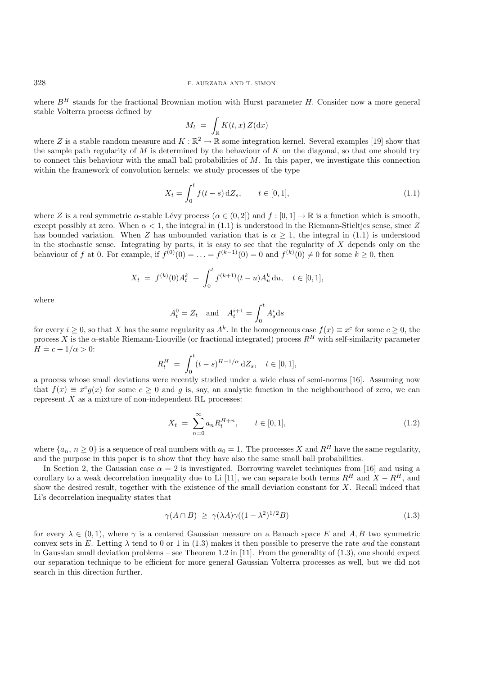where  $B<sup>H</sup>$  stands for the fractional Brownian motion with Hurst parameter H. Consider now a more general stable Volterra process defined by

$$
M_t = \int_{\mathbb{R}} K(t, x) Z(\mathrm{d}x)
$$

where Z is a stable random measure and  $K : \mathbb{R}^2 \to \mathbb{R}$  some integration kernel. Several examples [19] show that the sample path regularity of M is determined by the behaviour of K on the diagonal, so that one should try to connect this behaviour with the small ball probabilities of M. In this paper, we investigate this connection within the framework of convolution kernels: we study processes of the type

$$
X_t = \int_0^t f(t-s) \, dZ_s, \qquad t \in [0,1], \tag{1.1}
$$

where Z is a real symmetric  $\alpha$ -stable Lévy process  $(\alpha \in (0, 2])$  and  $f : [0, 1] \to \mathbb{R}$  is a function which is smooth, except possibly at zero. When  $\alpha < 1$ , the integral in (1.1) is understood in the Riemann-Stieltjes sense, since Z has bounded variation. When Z has unbounded variation that is  $\alpha \geq 1$ , the integral in (1.1) is understood in the stochastic sense. Integrating by parts, it is easy to see that the regularity of  $X$  depends only on the behaviour of f at 0. For example, if  $f^{(0)}(0) = \ldots = f^{(k-1)}(0) = 0$  and  $f^{(k)}(0) \neq 0$  for some  $k \geq 0$ , then

$$
X_t = f^{(k)}(0)A_t^k + \int_0^t f^{(k+1)}(t-u)A_u^k du, \quad t \in [0,1],
$$

where

$$
A_t^0 = Z_t \quad \text{and} \quad A_t^{i+1} = \int_0^t A_s^i \, \mathrm{d}s
$$

for every  $i \geq 0$ , so that X has the same regularity as  $A^k$ . In the homogeneous case  $f(x) \equiv x^c$  for some  $c \geq 0$ , the process X is the o-stable Biemann-Liquville (or fractional integrated) process  $R^H$  with self-simi process X is the  $\alpha$ -stable Riemann-Liouville (or fractional integrated) process  $R^H$  with self-similarity parameter  $H = c + 1/\alpha > 0$ :

$$
R_t^H = \int_0^t (t - s)^{H - 1/\alpha} dZ_s, \quad t \in [0, 1],
$$

a process whose small deviations were recently studied under a wide class of semi-norms [16]. Assuming now that  $f(x) \equiv x^c q(x)$  for some  $c > 0$  and q is, say, an analytic function in the neighbourhood of zero, we can represent  $X$  as a mixture of non-independent RL processes:

$$
X_t = \sum_{n=0}^{\infty} a_n R_t^{H+n}, \qquad t \in [0, 1], \tag{1.2}
$$

where  $\{a_n, n \geq 0\}$  is a sequence of real numbers with  $a_0 = 1$ . The processes X and R<sup>H</sup> have the same regularity, and the purpose in this paper is to show that they have also the same small ball probabilities.

In Section 2, the Gaussian case  $\alpha = 2$  is investigated. Borrowing wavelet techniques from [16] and using a corollary to a weak decorrelation inequality due to Li [11], we can separate both terms  $R^H$  and  $X - R^H$ , and show the desired result, together with the existence of the small deviation constant for X. Recall indeed that Li's decorrelation inequality states that

$$
\gamma(A \cap B) \ge \gamma(\lambda A)\gamma((1 - \lambda^2)^{1/2}B)
$$
\n(1.3)

for every  $\lambda \in (0,1)$ , where  $\gamma$  is a centered Gaussian measure on a Banach space E and A, B two symmetric convex sets in E. Letting  $\lambda$  tend to 0 or 1 in (1.3) makes it then possible to preserve the rate *and* the constant in Gaussian small deviation problems – see Theorem 1.2 in [11]. From the generality of  $(1.3)$ , one should expect our separation technique to be efficient for more general Gaussian Volterra processes as well, but we did not search in this direction further.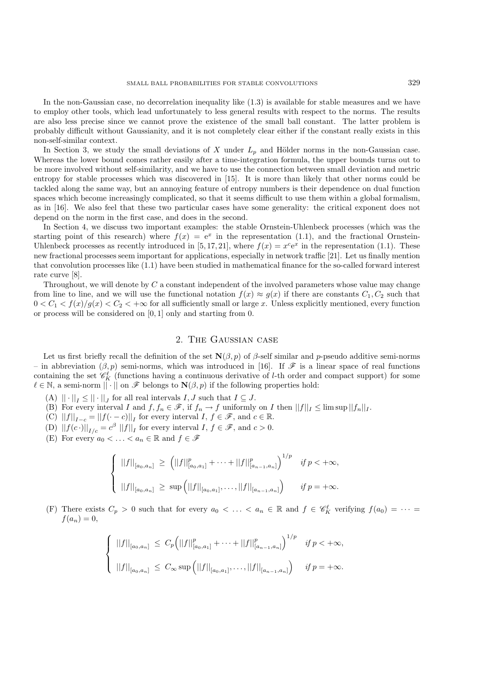In the non-Gaussian case, no decorrelation inequality like (1.3) is available for stable measures and we have to employ other tools, which lead unfortunately to less general results with respect to the norms. The results are also less precise since we cannot prove the existence of the small ball constant. The latter problem is probably difficult without Gaussianity, and it is not completely clear either if the constant really exists in this non-self-similar context.

In Section 3, we study the small deviations of X under  $L_p$  and Hölder norms in the non-Gaussian case. Whereas the lower bound comes rather easily after a time-integration formula, the upper bounds turns out to be more involved without self-similarity, and we have to use the connection between small deviation and metric entropy for stable processes which was discovered in [15]. It is more than likely that other norms could be tackled along the same way, but an annoying feature of entropy numbers is their dependence on dual function spaces which become increasingly complicated, so that it seems difficult to use them within a global formalism, as in [16]. We also feel that these two particular cases have some generality: the critical exponent does not depend on the norm in the first case, and does in the second.

In Section 4, we discuss two important examples: the stable Ornstein-Uhlenbeck processes (which was the starting point of this research) where  $f(x)=e^x$  in the representation (1.1), and the fractional Ornstein-Uhlenbeck processes as recently introduced in [5,17, 21], where  $f(x) = x^c e^x$  in the representation (1.1). These new fractional processes seem important for applications, especially in network traffic [21]. Let us finally mention that convolution processes like (1.1) have been studied in mathematical finance for the so-called forward interest rate curve [8].

Throughout, we will denote by  $C$  a constant independent of the involved parameters whose value may change from line to line, and we will use the functional notation  $f(x) \approx g(x)$  if there are constants  $C_1, C_2$  such that  $0 < C_1 < f(x)/g(x) < C_2 < +\infty$  for all sufficiently small or large x. Unless explicitly mentioned, every function or process will be considered on [0, 1] only and starting from 0.

## 2. The Gaussian case

Let us first briefly recall the definition of the set  $\mathbf{N}(\beta, p)$  of  $\beta$ -self similar and p-pseudo additive semi-norms – in abbreviation (β, p) semi-norms, which was introduced in [16]. If  $\mathscr F$  is a linear space of real functions containing the set  $\mathscr{C}_K^{\ell}$  (functions having a continuous derivative of *l*-th order and compact support) for some  $\ell \in \mathbb{N}$  a semi-norm  $\mathbb{L} \cup \{ \Omega \}$   $\mathscr{F}$  belongs to  $\mathbf{N}(\beta, n)$  if the following propert  $\ell \in \mathbb{N}$ , a semi-norm  $\|\cdot\|$  on  $\mathscr F$  belongs to  $\mathbf{N}(\beta, p)$  if the following properties hold:

- (A)  $\|\cdot\|_I \leq \|\cdot\|_I$  for all real intervals  $I, J$  such that  $I \subseteq J$ .
- (B) For every interval I and  $f, f_n \in \mathscr{F}$ , if  $f_n \to f$  uniformly on I then  $||f||_I \leq \limsup ||f_n||_I$ .<br>(C)  $||f|| = ||f|| = c$  or every interval  $I, f \in \mathscr{F}$  and  $c \in \mathbb{R}$
- (C)  $||f||_{I-c} = ||f(\cdot c)||_I$  for every interval  $I, f \in \mathcal{F}$ , and  $c \in \mathbb{R}$ .<br>(D)  $||f(c)||_{I-c} = c\beta ||f||$  for every interval  $I, f \in \mathcal{F}$  and  $c > 0$ .
- (D)  $||f(c \cdot)||_{I/c} = c^{\beta} ||f||_{I}$  for every interval  $I, f \in \mathscr{F}$ , and  $c > 0$ .
- (E) For every  $a_0 < \ldots < a_n \in \mathbb{R}$  and  $f \in \mathscr{F}$

$$
\begin{cases}\n||f||_{[a_0,a_n]} \ge (||f||^p_{[a_0,a_1]} + \cdots + ||f||^p_{[a_{n-1},a_n]})^{1/p} & \text{if } p < +\infty, \\
||f||_{[a_0,a_n]} \ge \sup (||f||_{[a_0,a_1]},\ldots,||f||_{[a_{n-1},a_n]}) & \text{if } p = +\infty.\n\end{cases}
$$

(F) There exists  $C_p > 0$  such that for every  $a_0 < \ldots < a_n \in \mathbb{R}$  and  $f \in \mathscr{C}_K^{\ell}$  verifying  $f(a_0) = \cdots = f(a_n) - 0$  $f(a_n) = 0,$ 

$$
\begin{cases}\n||f||_{[a_0,a_n]} \leq C_p \Big(||f||_{[a_0,a_1]}^p + \cdots + ||f||_{[a_{n-1},a_n]}^p\Big)^{1/p} & \text{if } p < +\infty, \\
||f||_{[a_0,a_n]} \leq C_\infty \sup\Big(||f||_{[a_0,a_1]},\ldots,||f||_{[a_{n-1},a_n]}\Big) & \text{if } p = +\infty.\n\end{cases}
$$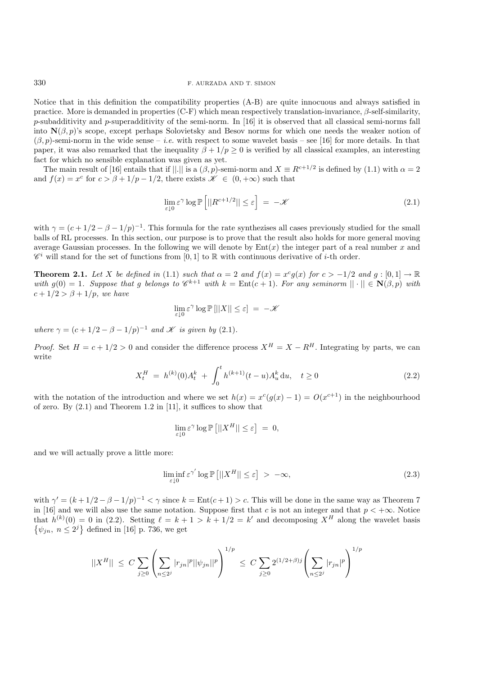Notice that in this definition the compatibility properties (A-B) are quite innocuous and always satisfied in practice. More is demanded in properties  $(C-F)$  which mean respectively translation-invariance,  $\beta$ -self-similarity, p-subadditivity and p-superadditivity of the semi-norm. In [16] it is observed that all classical semi-norms fall into  $\mathbf{N}(\beta, p)$ 's scope, except perhaps Solovietsky and Besov norms for which one needs the weaker notion of  $(\beta, p)$ -semi-norm in the wide sense – *i.e.* with respect to some wavelet basis – see [16] for more details. In that paper, it was also remarked that the inequality  $\beta + 1/p \geq 0$  is verified by all classical examples, an interesting fact for which no sensible explanation was given as yet.

The main result of [16] entails that if  $||.||$  is a  $(\beta, p)$ -semi-norm and  $X \equiv R^{c+1/2}$  is defined by (1.1) with  $\alpha = 2$ and  $f(x) = x^c$  for  $c > \beta + 1/p - 1/2$ , there exists  $\mathscr{K} \in (0, +\infty)$  such that

$$
\lim_{\varepsilon \downarrow 0} \varepsilon^{\gamma} \log \mathbb{P} \left[ ||R^{c+1/2}|| \le \varepsilon \right] = -\mathcal{K} \tag{2.1}
$$

with  $\gamma = (c + 1/2 - \beta - 1/p)^{-1}$ . This formula for the rate synthezises all cases previously studied for the small balls of RL processes. In this section, our purpose is to prove that the result also holds for more general moving average Gaussian processes. In the following we will denote by  $Ent(x)$  the integer part of a real number x and  $\mathscr{C}^i$  will stand for the set of functions from [0, 1] to R with continuous derivative of *i*-th order.

**Theorem 2.1.** *Let* X *be defined in* (1.1) *such that*  $\alpha = 2$  *and*  $f(x) = x^c g(x)$  *for*  $c > -1/2$  *and*  $g: [0,1] \to \mathbb{R}$ *with*  $g(0) = 1$ . Suppose that g belongs to  $\mathcal{C}^{k+1}$  with  $k = \text{Ent}(c+1)$ . For any seminorm  $|| \cdot || \in \mathbf{N}(\beta, p)$  with  $c+1/2 > \beta+1/p$ *, we have* 

$$
\lim_{\varepsilon\downarrow 0}\varepsilon^\gamma\log\mathbb{P}\left[||X||\le\varepsilon\right]\ =\ -\mathscr{K}
$$

*where*  $\gamma = (c + 1/2 - \beta - 1/p)^{-1}$  *and K is given by* (2.1)*.* 

*Proof.* Set  $H = c + 1/2 > 0$  and consider the difference process  $X^H = X - R^H$ . Integrating by parts, we can write

$$
X_t^H = h^{(k)}(0)A_t^k + \int_0^t h^{(k+1)}(t-u)A_u^k du, \quad t \ge 0
$$
\n(2.2)

with the notation of the introduction and where we set  $h(x) = x^{c}(g(x) - 1) = O(x^{c+1})$  in the neighbourhood of zero. By (2.1) and Theorem 1.2 in [11], it suffices to show that

$$
\lim_{\varepsilon \downarrow 0} \varepsilon^{\gamma} \log \mathbb{P} \left[ ||X^H|| \le \varepsilon \right] = 0,
$$

and we will actually prove a little more:

$$
\liminf_{\varepsilon \downarrow 0} \varepsilon^{\gamma'} \log \mathbb{P}\left[||X^H|| \le \varepsilon\right] > -\infty,\tag{2.3}
$$

with  $\gamma' = (k + 1/2 - \beta - 1/p)^{-1} < \gamma$  since  $k = \text{Ent}(c + 1) > c$ . This will be done in the same way as Theorem 7 in [16] and we will also use the same notation. Suppose first that c is not an integer and that  $p < +\infty$ . Notice that  $h^{(k)}(0) = 0$  in (2.2). Setting  $\ell = k + 1 > k + 1/2 = k'$  and decomposing  $X^H$  along the wavelet basis  $\{\psi_{jn}, n \leq 2^j\}$  defined in [16] p. 736, we get

$$
||X^H|| \leq C \sum_{j\geq 0} \left( \sum_{n\leq 2^j} |r_{jn}|^p ||\psi_{jn}||^p \right)^{1/p} \leq C \sum_{j\geq 0} 2^{(1/2+\beta)j} \left( \sum_{n\leq 2^j} |r_{jn}|^p \right)^{1/p}
$$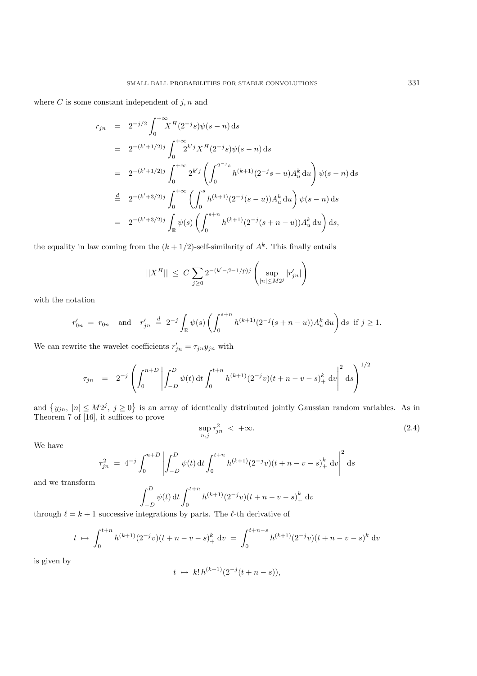where  $C$  is some constant independent of  $j, n$  and

$$
r_{jn} = 2^{-j/2} \int_0^{+\infty} X^H (2^{-j} s) \psi(s - n) ds
$$
  
\n
$$
= 2^{-(k'+1/2)j} \int_0^{+\infty} 2^{k'j} X^H (2^{-j} s) \psi(s - n) ds
$$
  
\n
$$
= 2^{-(k'+1/2)j} \int_0^{+\infty} 2^{k'j} \left( \int_0^{2^{-j} s} h^{(k+1)} (2^{-j} s - u) A_u^k du \right) \psi(s - n) ds
$$
  
\n
$$
\stackrel{d}{=} 2^{-(k'+3/2)j} \int_0^{+\infty} \left( \int_0^s h^{(k+1)} (2^{-j} (s - u)) A_u^k du \right) \psi(s - n) ds
$$
  
\n
$$
= 2^{-(k'+3/2)j} \int_{\mathbb{R}} \psi(s) \left( \int_0^{s+n} h^{(k+1)} (2^{-j} (s + n - u)) A_u^k du \right) ds,
$$

the equality in law coming from the  $(k + 1/2)$ -self-similarity of  $A<sup>k</sup>$ . This finally entails

$$
||X^H|| \leq C \sum_{j\geq 0} 2^{-(k'-\beta-1/p)j} \left( \sup_{|n| \leq M2^j} |r'_{jn}| \right)
$$

with the notation

$$
r'_{0n} = r_{0n} \text{ and } r'_{jn} \stackrel{d}{=} 2^{-j} \int_{\mathbb{R}} \psi(s) \left( \int_0^{s+n} h^{(k+1)} (2^{-j}(s+n-u)) A_u^k du \right) ds \text{ if } j \ge 1.
$$

We can rewrite the wavelet coefficients  $r'_{jn} = \tau_{jn} y_{jn}$  with

$$
\tau_{jn} = 2^{-j} \left( \int_0^{n+D} \left| \int_{-D}^D \psi(t) dt \int_0^{t+n} h^{(k+1)} (2^{-j} v) (t + n - v - s)_+^k dv \right|^2 ds \right)^{1/2}
$$

and  $\{y_{jn}, |n| \le M2^j, j \ge 0\}$  is an array of identically distributed jointly Gaussian random variables. As in<br>Theorem 7 of [16] it suffices to prove Theorem 7 of [16], it suffices to prove

$$
\sup_{n,j} \tau_{jn}^2 \ < \ +\infty. \tag{2.4}
$$

We have

$$
\tau_{jn}^2 = 4^{-j} \int_0^{n+D} \left| \int_{-D}^D \psi(t) dt \int_0^{t+n} h^{(k+1)} (2^{-j} v) (t+n-v-s)_+^k dv \right|^2 ds
$$

and we transform

$$
\int_{-D}^{D} \psi(t) dt \int_{0}^{t+n} h^{(k+1)} (2^{-j}v)(t+n-v-s)_{+}^{k} dv
$$

through  $\ell = k + 1$  successive integrations by parts. The  $\ell$ -th derivative of

$$
t \mapsto \int_0^{t+n} h^{(k+1)}(2^{-j}v)(t+n-v-s)_+^k \, \mathrm{d}v = \int_0^{t+n-s} h^{(k+1)}(2^{-j}v)(t+n-v-s)^k \, \mathrm{d}v
$$

is given by

$$
t \ \mapsto \ k! \, h^{(k+1)}(2^{-j}(t+n-s)),
$$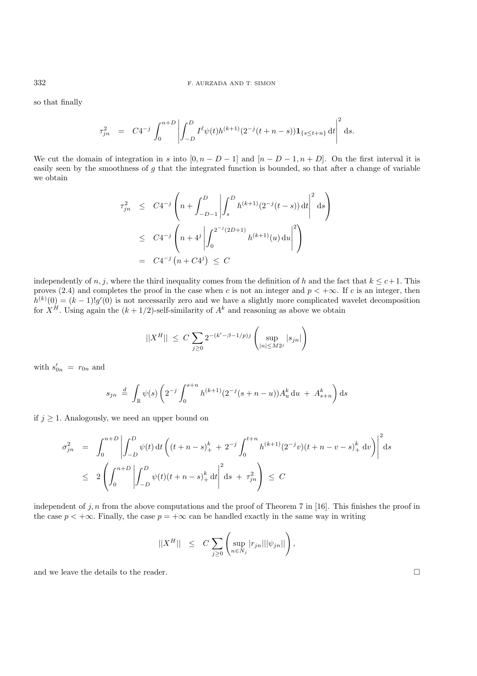so that finally

$$
\tau_{jn}^2 = C4^{-j} \int_0^{n+D} \left| \int_{-D}^D I^{\ell} \psi(t) h^{(k+1)} (2^{-j} (t+n-s)) \mathbf{1}_{\{s \le t+n\}} \, \mathrm{d}t \right|^2 \, \mathrm{d}s.
$$

We cut the domain of integration in s into  $[0, n - D - 1]$  and  $[n - D - 1, n + D]$ . On the first interval it is easily seen by the smoothness of  $g$  that the integrated function is bounded, so that after a change of variable we obtain

$$
\tau_{jn}^2 \le C4^{-j} \left( n + \int_{-D-1}^D \left| \int_s^D h^{(k+1)} (2^{-j} (t-s)) dt \right|^2 ds \right)
$$
  

$$
\le C4^{-j} \left( n + 4^j \left| \int_0^{2^{-j} (2D+1)} h^{(k+1)} (u) du \right|^2 \right)
$$
  

$$
= C4^{-j} \left( n + C4^j \right) \le C
$$

independently of n, j, where the third inequality comes from the definition of h and the fact that  $k \leq c+1$ . This proves (2.4) and completes the proof in the case when c is not an integer and  $p < +\infty$ . If c is an integer, then  $h^{(k)}(0) = (k-1)!g'(0)$  is not necessarily zero and we have a slightly more complicated wavelet decomposition<br>for  $X^H$  Using again the  $(k+1/2)$ -self-similarity of  $A^k$  and reasoning as above we obtain for  $X^H$ . Using again the  $(k + 1/2)$ -self-similarity of  $A^k$  and reasoning as above we obtain

$$
||X^H|| \le C \sum_{j\ge 0} 2^{-(k'-\beta-1/p)j} \left( \sup_{|n| \le M2^j} |s_{jn}| \right)
$$

with  $s'_{0n} = r_{0n}$  and

$$
s_{jn} \stackrel{d}{=} \int_{\mathbb{R}} \psi(s) \left( 2^{-j} \int_0^{s+n} h^{(k+1)} (2^{-j} (s+n-u)) A_u^k du + A_{s+n}^k \right) ds
$$

if  $j \geq 1$ . Analogously, we need an upper bound on

$$
\sigma_{jn}^2 = \int_0^{n+D} \left| \int_{-D}^D \psi(t) dt \left( (t+n-s)_+^k + 2^{-j} \int_0^{t+n} h^{(k+1)} (2^{-j}v)(t+n-v-s)_+^k dv \right) \right|^2 ds
$$
  

$$
\leq 2 \left( \int_0^{n+D} \left| \int_{-D}^D \psi(t)(t+n-s)_+^k dt \right|^2 ds + \tau_{jn}^2 \right) \leq C
$$

independent of j, n from the above computations and the proof of Theorem 7 in [16]. This finishes the proof in the case  $p < +\infty$ . Finally, the case  $p = +\infty$  can be handled exactly in the same way in writing

$$
||X^H|| \leq C \sum_{j\geq 0} \left( \sup_{n\in N_j} |r_{jn}|||\psi_{jn}|| \right),
$$

and we leave the details to the reader.  $\Box$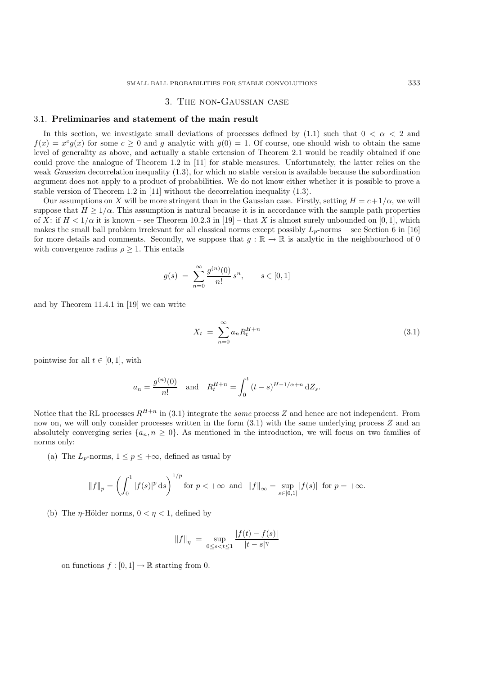### 3. The non-Gaussian case

### 3.1. **Preliminaries and statement of the main result**

In this section, we investigate small deviations of processes defined by (1.1) such that  $0 < \alpha < 2$  and  $f(x) = x^{c}g(x)$  for some  $c \ge 0$  and g analytic with  $g(0) = 1$ . Of course, one should wish to obtain the same level of generality as above, and actually a stable extension of Theorem 2.1 would be readily obtained if one could prove the analogue of Theorem 1.2 in [11] for stable measures. Unfortunately, the latter relies on the weak *Gaussian* decorrelation inequality (1.3), for which no stable version is available because the subordination argument does not apply to a product of probabilities. We do not know either whether it is possible to prove a stable version of Theorem 1.2 in [11] without the decorrelation inequality (1.3).

Our assumptions on X will be more stringent than in the Gaussian case. Firstly, setting  $H = c + 1/\alpha$ , we will suppose that  $H \geq 1/\alpha$ . This assumption is natural because it is in accordance with the sample path properties of X: if  $H < 1/\alpha$  it is known – see Theorem 10.2.3 in [19] – that X is almost surely unbounded on [0, 1], which makes the small ball problem irrelevant for all classical norms except possibly  $L_p$ -norms – see Section 6 in [16] for more details and comments. Secondly, we suppose that  $g : \mathbb{R} \to \mathbb{R}$  is analytic in the neighbourhood of 0 with convergence radius  $\rho \geq 1$ . This entails

$$
g(s) = \sum_{n=0}^{\infty} \frac{g^{(n)}(0)}{n!} s^n, \qquad s \in [0, 1]
$$

and by Theorem 11.4.1 in [19] we can write

$$
X_t = \sum_{n=0}^{\infty} a_n R_t^{H+n}
$$
\n(3.1)

pointwise for all  $t \in [0, 1]$ , with

$$
a_n = \frac{g^{(n)}(0)}{n!}
$$
 and  $R_t^{H+n} = \int_0^t (t-s)^{H-1/\alpha+n} dZ_s$ .

Notice that the RL processes  $R^{H+n}$  in (3.1) integrate the *same* process Z and hence are not independent. From now on, we will only consider processes written in the form  $(3.1)$  with the same underlying process Z and an absolutely converging series  $\{a_n, n \geq 0\}$ . As mentioned in the introduction, we will focus on two families of norms only:

(a) The  $L_p$ -norms,  $1 \leq p \leq +\infty$ , defined as usual by

$$
||f||_p = \left(\int_0^1 |f(s)|^p ds\right)^{1/p}
$$
 for  $p < +\infty$  and  $||f||_{\infty} = \sup_{s \in [0,1]} |f(s)|$  for  $p = +\infty$ .

(b) The  $\eta$ -Hölder norms,  $0 < \eta < 1$ , defined by

$$
||f||_{\eta} = \sup_{0 \le s < t \le 1} \frac{|f(t) - f(s)|}{|t - s|^{\eta}}
$$

on functions  $f : [0, 1] \to \mathbb{R}$  starting from 0.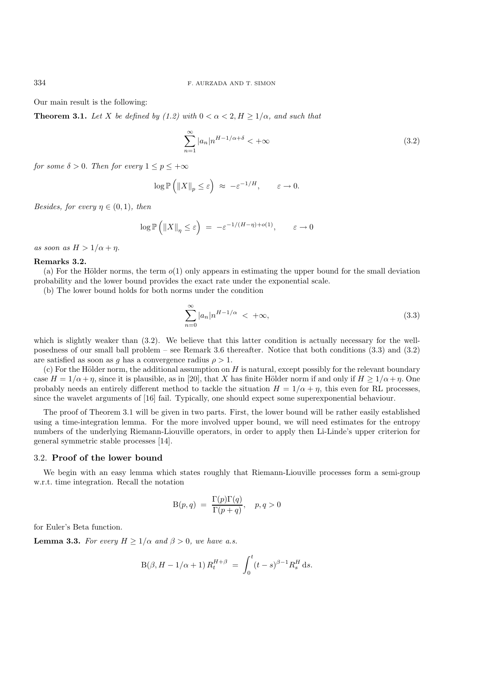Our main result is the following:

**Theorem 3.1.** Let X be defined by (1.2) with  $0 < \alpha < 2, H \geq 1/\alpha$ , and such that

$$
\sum_{n=1}^{\infty} |a_n| n^{H-1/\alpha + \delta} < +\infty
$$
\n(3.2)

*for some*  $\delta > 0$ *. Then for every*  $1 \leq p \leq +\infty$ 

$$
\log \mathbb{P}\left(\|X\|_p \leq \varepsilon\right) \ \approx \ - \varepsilon^{-1/H}, \qquad \varepsilon \to 0.
$$

*Besides, for every*  $\eta \in (0,1)$ *, then* 

$$
\log \mathbb{P}\left(\left\|X\right\|_{\eta} \leq \varepsilon\right) = -\varepsilon^{-1/(H-\eta)+o(1)}, \qquad \varepsilon \to 0
$$

*as soon as*  $H > 1/\alpha + \eta$ .

### **Remarks 3.2.**

(a) For the Hölder norms, the term  $o(1)$  only appears in estimating the upper bound for the small deviation probability and the lower bound provides the exact rate under the exponential scale.

(b) The lower bound holds for both norms under the condition

$$
\sum_{n=0}^{\infty} |a_n| n^{H-1/\alpha} < +\infty,
$$
\n(3.3)

which is slightly weaker than  $(3.2)$ . We believe that this latter condition is actually necessary for the wellposedness of our small ball problem – see Remark 3.6 thereafter. Notice that both conditions (3.3) and (3.2) are satisfied as soon as g has a convergence radius  $\rho > 1$ .

(c) For the Hölder norm, the additional assumption on  $H$  is natural, except possibly for the relevant boundary case  $H = 1/\alpha + \eta$ , since it is plausible, as in [20], that X has finite Hölder norm if and only if  $H \ge 1/\alpha + \eta$ . One probably needs an entirely different method to tackle the situation  $H = 1/\alpha + \eta$ , this even for RL processes, since the wavelet arguments of [16] fail. Typically, one should expect some superexponential behaviour.

The proof of Theorem 3.1 will be given in two parts. First, the lower bound will be rather easily established using a time-integration lemma. For the more involved upper bound, we will need estimates for the entropy numbers of the underlying Riemann-Liouville operators, in order to apply then Li-Linde's upper criterion for general symmetric stable processes [14].

### 3.2. **Proof of the lower bound**

We begin with an easy lemma which states roughly that Riemann-Liouville processes form a semi-group w.r.t. time integration. Recall the notation

$$
B(p,q) = \frac{\Gamma(p)\Gamma(q)}{\Gamma(p+q)}, \quad p, q > 0
$$

for Euler's Beta function.

**Lemma 3.3.** *For every*  $H \geq 1/\alpha$  *and*  $\beta > 0$ *, we have a.s.* 

$$
B(\beta, H - 1/\alpha + 1) R_t^{H + \beta} = \int_0^t (t - s)^{\beta - 1} R_s^H ds.
$$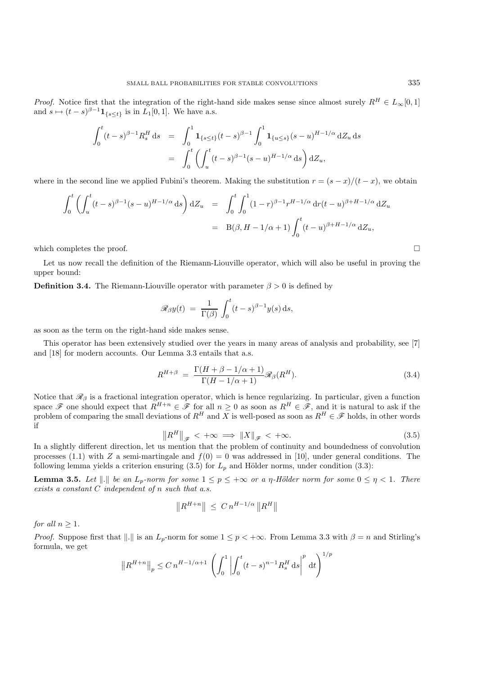*Proof.* Notice first that the integration of the right-hand side makes sense since almost surely  $R^H \in L_\infty[0,1]$ and  $s \mapsto (t-s)^{\beta-1} \mathbf{1}_{\{s \leq t\}}$  is in  $L_1[0,1]$ . We have a.s.

$$
\int_0^t (t-s)^{\beta-1} R_s^H ds = \int_0^1 \mathbf{1}_{\{s \le t\}} (t-s)^{\beta-1} \int_0^1 \mathbf{1}_{\{u \le s\}} (s-u)^{H-1/\alpha} dZ_u ds
$$

$$
= \int_0^t \left( \int_u^t (t-s)^{\beta-1} (s-u)^{H-1/\alpha} ds \right) dZ_u,
$$

where in the second line we applied Fubini's theorem. Making the substitution  $r = (s - x)/(t - x)$ , we obtain

$$
\int_0^t \left( \int_u^t (t-s)^{\beta - 1} (s-u)^{H-1/\alpha} ds \right) dZ_u = \int_0^t \int_0^1 (1-r)^{\beta - 1} r^{H-1/\alpha} dr (t-u)^{\beta + H-1/\alpha} dZ_u
$$
  
=  $B(\beta, H-1/\alpha + 1) \int_0^t (t-u)^{\beta + H-1/\alpha} dZ_u$ ,

which completes the proof.  $\Box$ 

Let us now recall the definition of the Riemann-Liouville operator, which will also be useful in proving the upper bound:

**Definition 3.4.** The Riemann-Liouville operator with parameter  $\beta > 0$  is defined by

$$
\mathscr{R}_{\beta}y(t) = \frac{1}{\Gamma(\beta)} \int_0^t (t-s)^{\beta-1} y(s) \,ds,
$$

as soon as the term on the right-hand side makes sense.

This operator has been extensively studied over the years in many areas of analysis and probability, see [7] and [18] for modern accounts. Our Lemma 3.3 entails that a.s.

$$
R^{H+\beta} = \frac{\Gamma(H+\beta-1/\alpha+1)}{\Gamma(H-1/\alpha+1)} \mathscr{R}_{\beta}(R^H). \tag{3.4}
$$

Notice that  $\mathcal{R}_{\beta}$  is a fractional integration operator, which is hence regularizing. In particular, given a function space  $\mathscr F$  one should expect that  $R^{H+n} \in \mathscr F$  for all  $n \geq 0$  as soon as  $R^H \in \mathscr F$ , and it is natural to ask if the problem of comparing the small deviations of  $R^H$  and X is well-posed as soon as  $R^H \in \mathscr F$  hold problem of comparing the small deviations of  $R^H$  and X is well-posed as soon as  $R^H \in \mathscr{F}$  holds, in other words if if

$$
||R^H||_{\mathscr{F}} < +\infty \implies ||X||_{\mathscr{F}} < +\infty.
$$
\n(3.5)

\nIn a slightly different direction, let us mention that the problem of continuity and boundedness of convolution.

processes (1.1) with Z a semi-martingale and  $f(0) = 0$  was addressed in [10], under general conditions. The following lemma yields a criterion ensuring  $(3.5)$  for  $L_p$  and Hölder norms, under condition  $(3.3)$ :

**Lemma 3.5.** *Let*  $\|.\|$  *be an L<sub>p</sub>-norm for some*  $1 \leq p \leq +\infty$  *or a*  $\eta$ -Hölder norm for some  $0 \leq \eta < 1$ *. There exists a constant* C *independent of* n *such that a.s.*

$$
||R^{H+n}|| \leq C n^{H-1/\alpha} ||R^H||
$$

*for all*  $n \geq 1$ *.* 

*Proof.* Suppose first that  $\|.\|$  is an  $L_p$ -norm for some  $1 \leq p < +\infty$ . From Lemma 3.3 with  $\beta = n$  and Stirling's formula, we get

$$
\left\| R^{H+n} \right\|_p \le C n^{H-1/\alpha+1} \left( \int_0^1 \left| \int_0^t (t-s)^{n-1} R_s^H ds \right|^p dt \right)^{1/p}
$$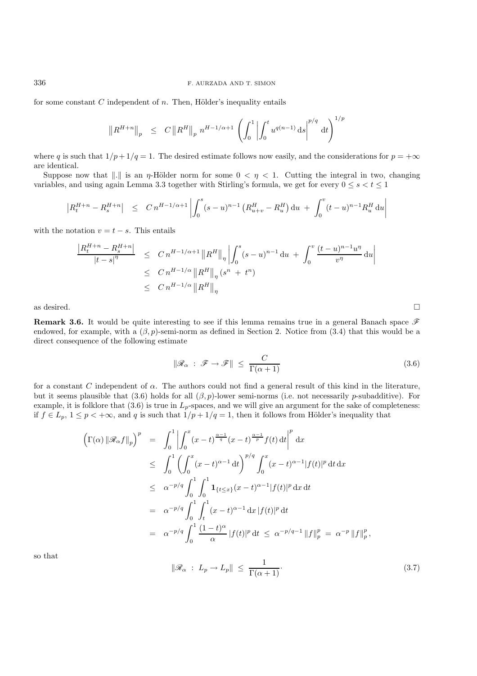#### 336 F. AURZADA AND T. SIMON

for some constant  $C$  independent of  $n$ . Then, Hölder's inequality entails

$$
\left\| R^{H+n} \right\|_{p} \leq C \left\| R^{H} \right\|_{p} n^{H-1/\alpha+1} \left( \int_{0}^{1} \left| \int_{0}^{t} u^{q(n-1)} \, ds \right|^{p/q} dt \right)^{1/p}
$$

where q is such that  $1/p + 1/q = 1$ . The desired estimate follows now easily, and the considerations for  $p = +\infty$ are identical.

Suppose now that  $\|.\|$  is an  $\eta$ -Hölder norm for some  $0 < \eta < 1$ . Cutting the integral in two, changing variables, and using again Lemma 3.3 together with Stirling's formula, we get for every  $0 \le s < t \le 1$ 

$$
\left| R_t^{H+n} - R_s^{H+n} \right| \leq C n^{H-1/\alpha+1} \left| \int_0^s (s-u)^{n-1} \left( R_{u+v}^H - R_u^H \right) \mathrm{d}u + \int_0^v (t-u)^{n-1} R_u^H \, \mathrm{d}u \right|
$$

with the notation  $v = t - s$ . This entails

$$
\frac{|R_t^{H+n} - R_s^{H+n}|}{|t - s|^{\eta}} \le C n^{H-1/\alpha+1} \|R^H\|_{\eta} \left| \int_0^s (s - u)^{n-1} du + \int_0^v \frac{(t - u)^{n-1} u^{\eta}}{v^{\eta}} du \right|
$$
  
\n
$$
\le C n^{H-1/\alpha} \|R^H\|_{\eta} (s^n + t^n)
$$
  
\n
$$
\le C n^{H-1/\alpha} \|R^H\|_{\eta}
$$

as desired.  $\square$ 

**Remark 3.6.** It would be quite interesting to see if this lemma remains true in a general Banach space *F* endowed, for example, with a  $(\beta, p)$ -semi-norm as defined in Section 2. Notice from (3.4) that this would be a direct consequence of the following estimate

$$
\|\mathcal{R}_{\alpha} : \mathcal{F} \to \mathcal{F}\| \le \frac{C}{\Gamma(\alpha+1)}
$$
\n(3.6)

for a constant C independent of  $\alpha$ . The authors could not find a general result of this kind in the literature, but it seems plausible that (3.6) holds for all  $(\beta, p)$ -lower semi-norms (i.e. not necessarily p-subadditive). For example, it is folklore that  $(3.6)$  is true in  $L_p$ -spaces, and we will give an argument for the sake of completeness: if  $f \in L_p$ ,  $1 \leq p < +\infty$ , and q is such that  $1/p + 1/q = 1$ , then it follows from Hölder's inequality that

$$
\left(\Gamma(\alpha) \|\mathcal{R}_{\alpha}f\|_{p}\right)^{p} = \int_{0}^{1} \left| \int_{0}^{x} (x-t)^{\frac{\alpha-1}{q}} (x-t)^{\frac{\alpha-1}{p}} f(t) dt \right|^{p} dx
$$
  
\n
$$
\leq \int_{0}^{1} \left( \int_{0}^{x} (x-t)^{\alpha-1} dt \right)^{p/q} \int_{0}^{x} (x-t)^{\alpha-1} |f(t)|^{p} dt dx
$$
  
\n
$$
\leq \alpha^{-p/q} \int_{0}^{1} \int_{0}^{1} \mathbf{1}_{\{t \leq x\}} (x-t)^{\alpha-1} |f(t)|^{p} dx dt
$$
  
\n
$$
= \alpha^{-p/q} \int_{0}^{1} \int_{t}^{1} (x-t)^{\alpha-1} dx |f(t)|^{p} dt
$$
  
\n
$$
= \alpha^{-p/q} \int_{0}^{1} \frac{(1-t)^{\alpha}}{\alpha} |f(t)|^{p} dt \leq \alpha^{-p/q-1} \|f\|_{p}^{p} = \alpha^{-p} \|f\|_{p}^{p},
$$

so that

$$
\|\mathcal{R}_{\alpha} : L_p \to L_p\| \le \frac{1}{\Gamma(\alpha+1)}.\tag{3.7}
$$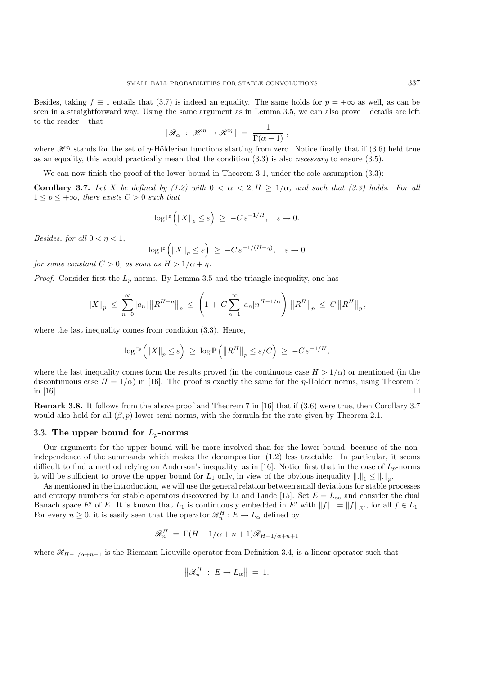Besides, taking  $f \equiv 1$  entails that (3.7) is indeed an equality. The same holds for  $p = +\infty$  as well, as can be seen in a straightforward way. Using the same argument as in Lemma 3.5, we can also prove – details are left to the reader – that

$$
\|\mathcal{R}_{\alpha} : \mathcal{H}^{\eta} \to \mathcal{H}^{\eta}\| = \frac{1}{\Gamma(\alpha+1)},
$$

where  $\mathcal{H}^{\eta}$  stands for the set of  $\eta$ -Hölderian functions starting from zero. Notice finally that if (3.6) held true<br>as an equality this would practically mean that the condition (3.3) is also *necessary* to ensur as an equality, this would practically mean that the condition (3.3) is also *necessary* to ensure (3.5).

We can now finish the proof of the lower bound in Theorem 3.1, under the sole assumption  $(3.3)$ :

**Corollary 3.7.** Let X be defined by (1.2) with  $0 < \alpha < 2, H \ge 1/\alpha$ , and such that (3.3) holds. For all  $1 \leq p \leq +\infty$ *, there exists*  $C > 0$  *such that* 

$$
\log \mathbb{P}\left(\|X\|_p \leq \varepsilon\right) \ \geq \ -C\,\varepsilon^{-1/H}, \quad \varepsilon \to 0.
$$

*Besides, for all*  $0 < \eta < 1$ *,* 

$$
\log \mathbb{P}\left(\left\|X\right\|_{\eta} \leq \varepsilon\right) \geq -C \varepsilon^{-1/(H-\eta)}, \quad \varepsilon \to 0
$$

*for some constant*  $C > 0$ *, as soon as*  $H > 1/\alpha + \eta$ *.* 

*Proof.* Consider first the  $L_p$ -norms. By Lemma 3.5 and the triangle inequality, one has

$$
||X||_p \leq \sum_{n=0}^{\infty} |a_n| ||R^{H+n}||_p \leq \left(1 + C \sum_{n=1}^{\infty} |a_n| n^{H-1/\alpha} \right) ||R^H||_p \leq C ||R^H||_p,
$$

where the last inequality comes from condition  $(3.3)$ . Hence,

$$
\log \mathbb{P}\left(\left\|X\right\|_p \leq \varepsilon\right) \ \geq \ \log \mathbb{P}\left(\left\|R^H\right\|_p \leq \varepsilon/C\right) \ \geq \ -C\,\varepsilon^{-1/H},
$$

where the last inequality comes form the results proved (in the continuous case  $H > 1/\alpha$ ) or mentioned (in the discontinuous case  $H = 1/\alpha$ ) in [16]. The proof is exactly the same for the  $\eta$ -Hölder norms, using Theorem 7 in [16]. in [16].  $\Box$ 

**Remark 3.8.** It follows from the above proof and Theorem 7 in [16] that if (3.6) were true, then Corollary 3.7 would also hold for all  $(\beta, p)$ -lower semi-norms, with the formula for the rate given by Theorem 2.1.

# 3.3. **The upper bound for** L*p***-norms**

Our arguments for the upper bound will be more involved than for the lower bound, because of the nonindependence of the summands which makes the decomposition (1.2) less tractable. In particular, it seems difficult to find a method relying on Anderson's inequality, as in [16]. Notice first that in the case of  $L_p$ -norms it will be sufficient to prove the upper bound for  $L_1$  only, in view of the obvious inequality  $\|.\|_1 \leq \|.\|_p$ .

As mentioned in the introduction, we will use the general relation between small deviations for stable processes and entropy numbers for stable operators discovered by Li and Linde [15]. Set  $E = L_{\infty}$  and consider the dual Banach space E' of E. It is known that  $L_1$  is continuously embedded in E' with  $||f||_1 = ||f||_{E'}$ , for all  $f \in L_1$ .<br>For overy  $n > 0$  it is easily seen that the energtor  $\mathscr{R}^H : F \to I$  defined by For every  $n \geq 0$ , it is easily seen that the operator  $\mathcal{R}_n^H : E \to L_\alpha$  defined by

$$
\mathcal{R}_n^H = \Gamma(H - 1/\alpha + n + 1)\mathcal{R}_{H-1/\alpha + n + 1}
$$

where  $\mathcal{R}_{H-1/\alpha+n+1}$  is the Riemann-Liouville operator from Definition 3.4, is a linear operator such that

$$
\left\|\mathscr{R}_{n}^{H} : E \to L_{\alpha} \right\| = 1.
$$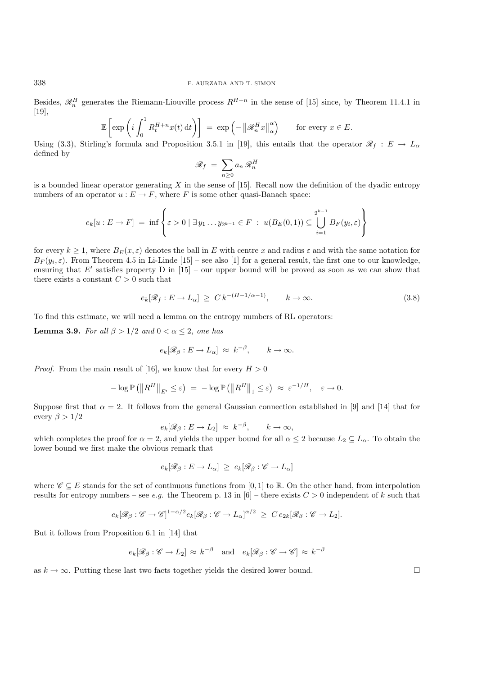Besides,  $\mathcal{R}_n^H$  generates the Riemann-Liouville process  $R^{H+n}$  in the sense of [15] since, by Theorem 11.4.1 in [10] [19],

$$
\mathbb{E}\left[\exp\left(i\int_0^1 R_t^{H+n}x(t)\,\mathrm{d}t\right)\right] = \exp\left(-\left\|\mathcal{R}_n^H x\right\|_{\alpha}^{\alpha}\right) \quad \text{for every } x \in E.
$$

Using (3.3), Stirling's formula and Proposition 3.5.1 in [19], this entails that the operator  $\mathscr{R}_f : E \to L_\alpha$ defined by

$$
\mathscr{R}_f = \sum_{n\geq 0} a_n \mathscr{R}_n^H
$$

is a bounded linear operator generating  $X$  in the sense of [15]. Recall now the definition of the dyadic entropy numbers of an operator  $u : E \to F$ , where F is some other quasi-Banach space:

$$
e_k[u:E \to F] = \inf \left\{ \varepsilon > 0 \mid \exists y_1 \dots y_{2^{k-1}} \in F \ : \ u(B_E(0,1)) \subseteq \bigcup_{i=1}^{2^{k-1}} B_F(y_i,\varepsilon) \right\}
$$

for every  $k \geq 1$ , where  $B_E(x, \varepsilon)$  denotes the ball in E with centre x and radius  $\varepsilon$  and with the same notation for  $B_F(y_i, \varepsilon)$ . From Theorem 4.5 in Li-Linde [15] – see also [1] for a general result, the first one to our knowledge, ensuring that E' satisfies property D in  $[15]$  – our upper bound will be proved as soon as we can show that there exists a constant  $C > 0$  such that

$$
e_k[\mathscr{R}_f: E \to L_\alpha] \ge C k^{-(H-1/\alpha-1)}, \qquad k \to \infty. \tag{3.8}
$$

To find this estimate, we will need a lemma on the entropy numbers of RL operators:

**Lemma 3.9.** *For all*  $\beta > 1/2$  *and*  $0 < \alpha \leq 2$ *, one has* 

$$
e_k[\mathscr{R}_{\beta}: E \to L_{\alpha}] \approx k^{-\beta}, \qquad k \to \infty.
$$

*Proof.* From the main result of [16], we know that for every  $H > 0$ 

$$
-\log \mathbb{P}\left(\left\|R^H\right\|_{E'} \leq \varepsilon\right) \ = \ -\log \mathbb{P}\left(\left\|R^H\right\|_{1} \leq \varepsilon\right) \ \approx \ \varepsilon^{-1/H}, \quad \varepsilon \to 0.
$$

Suppose first that  $\alpha = 2$ . It follows from the general Gaussian connection established in [9] and [14] that for every  $\beta > 1/2$ 

$$
e_k[\mathscr{R}_{\beta}: E \to L_2] \approx k^{-\beta}, \qquad k \to \infty,
$$

which completes the proof for  $\alpha = 2$ , and yields the upper bound for all  $\alpha \leq 2$  because  $L_2 \subseteq L_\alpha$ . To obtain the lower bound we first make the obvious remark that lower bound we first make the obvious remark that

$$
e_k[\mathcal{R}_{\beta}:E\to L_{\alpha}]\,\geq\,e_k[\mathcal{R}_{\beta}:\mathscr{C}\to L_{\alpha}]
$$

where  $\mathscr{C} \subseteq E$  stands for the set of continuous functions from [0, 1] to R. On the other hand, from interpolation results for entropy numbers – see *e.g.* the Theorem p. 13 in  $[6]$  – there exists  $C > 0$  independent of k such that

$$
e_k[\mathscr{R}_{\beta} : \mathscr{C} \to \mathscr{C}]^{1-\alpha/2} e_k[\mathscr{R}_{\beta} : \mathscr{C} \to L_{\alpha}]^{\alpha/2} \geq C e_{2k}[\mathscr{R}_{\beta} : \mathscr{C} \to L_2].
$$

But it follows from Proposition 6.1 in [14] that

$$
e_k[\mathscr{R}_{\beta} : \mathscr{C} \to L_2] \approx k^{-\beta}
$$
 and  $e_k[\mathscr{R}_{\beta} : \mathscr{C} \to \mathscr{C}] \approx k^{-\beta}$ 

as  $k \to \infty$ . Putting these last two facts together yields the desired lower bound.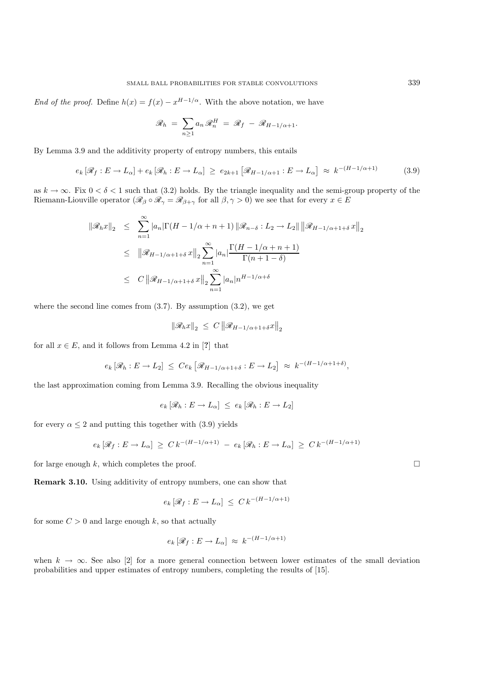*End of the proof.* Define  $h(x) = f(x) - x^{H-1/\alpha}$ . With the above notation, we have

$$
\mathscr{R}_h = \sum_{n\geq 1} a_n \mathscr{R}_n^H = \mathscr{R}_f - \mathscr{R}_{H-1/\alpha+1}.
$$

By Lemma 3.9 and the additivity property of entropy numbers, this entails

$$
e_k[\mathscr{R}_f: E \to L_\alpha] + e_k[\mathscr{R}_h: E \to L_\alpha] \ge e_{2k+1}[\mathscr{R}_{H-1/\alpha+1}: E \to L_\alpha] \approx k^{-(H-1/\alpha+1)} \tag{3.9}
$$

as  $k \to \infty$ . Fix  $0 < \delta < 1$  such that (3.2) holds. By the triangle inequality and the semi-group property of the Riemann-Liouville operator  $(\mathscr{R}_{\beta} \circ \mathscr{R}_{\gamma} = \mathscr{R}_{\beta+\gamma}$  for all  $\beta, \gamma > 0$ ) we see that for every  $x \in E$ 

$$
\|\mathcal{R}_h x\|_2 \leq \sum_{n=1}^{\infty} |a_n| \Gamma(H - 1/\alpha + n + 1) \| \mathcal{R}_{n-\delta} : L_2 \to L_2 \| \left\| \mathcal{R}_{H-1/\alpha+1+\delta} x \right\|_2
$$
  

$$
\leq \|\mathcal{R}_{H-1/\alpha+1+\delta} x\|_2 \sum_{n=1}^{\infty} |a_n| \frac{\Gamma(H - 1/\alpha + n + 1)}{\Gamma(n + 1 - \delta)}
$$
  

$$
\leq C \|\mathcal{R}_{H-1/\alpha+1+\delta} x\|_2 \sum_{n=1}^{\infty} |a_n| n^{H-1/\alpha+\delta}
$$

where the second line comes from  $(3.7)$ . By assumption  $(3.2)$ , we get

$$
\left\|\mathcal{R}_h x\right\|_2 \,\leq\, C\left\|\mathcal{R}_{H-1/\alpha+1+\delta} x\right\|_2
$$

for all  $x \in E$ , and it follows from Lemma 4.2 in [?] that

$$
e_k [\mathscr{R}_h : E \to L_2] \leq Ce_k [\mathscr{R}_{H-1/\alpha+1+\delta} : E \to L_2] \approx k^{-(H-1/\alpha+1+\delta)},
$$

the last approximation coming from Lemma 3.9. Recalling the obvious inequality

 $e_k [\mathscr{R}_h : E \to L_\alpha] \leq e_k [\mathscr{R}_h : E \to L_2]$ 

for every  $\alpha \leq 2$  and putting this together with (3.9) yields

$$
e_k [\mathscr{R}_f : E \to L_\alpha] \geq C k^{-(H-1/\alpha+1)} - e_k [\mathscr{R}_h : E \to L_\alpha] \geq C k^{-(H-1/\alpha+1)}
$$

for large enough k, which completes the proof.  $\square$ 

**Remark 3.10.** Using additivity of entropy numbers, one can show that

$$
e_k [\mathscr{R}_f : E \to L_\alpha] \le C k^{-(H-1/\alpha+1)}
$$

for some  $C > 0$  and large enough k, so that actually

$$
e_k [\mathscr{R}_f : E \to L_\alpha] \approx k^{-(H-1/\alpha+1)}
$$

when  $k \to \infty$ . See also [2] for a more general connection between lower estimates of the small deviation probabilities and upper estimates of entropy numbers, completing the results of [15].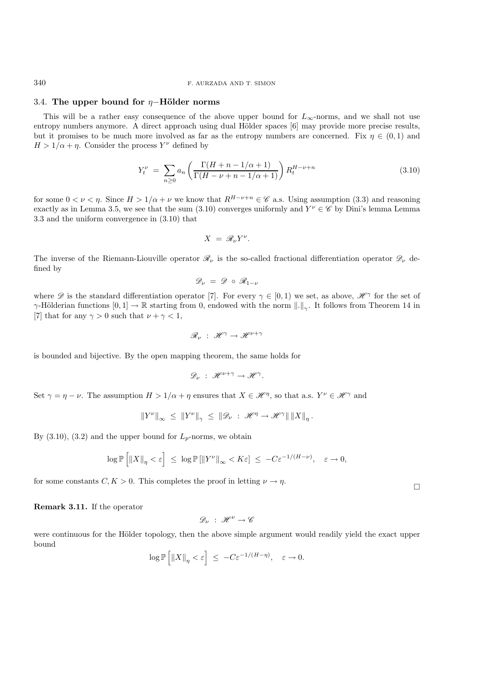# 3.4. **The upper bound for** η−**H¨older norms**

This will be a rather easy consequence of the above upper bound for  $L_{\infty}$ -norms, and we shall not use entropy numbers anymore. A direct approach using dual Hölder spaces [6] may provide more precise results, but it promises to be much more involved as far as the entropy numbers are concerned. Fix  $\eta \in (0,1)$  and  $H > 1/\alpha + \eta$ . Consider the process  $Y^{\nu}$  defined by

$$
Y_t^{\nu} = \sum_{n \ge 0} a_n \left( \frac{\Gamma(H + n - 1/\alpha + 1)}{\Gamma(H - \nu + n - 1/\alpha + 1)} \right) R_t^{H - \nu + n}
$$
(3.10)

for some  $0 < \nu < \eta$ . Since  $H > 1/\alpha + \nu$  we know that  $R^{H-\nu+n} \in \mathscr{C}$  a.s. Using assumption (3.3) and reasoning exactly as in Lemma 3.5, we see that the sum (3.10) converges uniformly and  $Y^{\nu} \in \mathscr{C}$  by Dini's lemma Lemma 3.3 and the uniform convergence in (3.10) that

$$
X = \mathscr{R}_{\nu} Y^{\nu}.
$$

The inverse of the Riemann-Liouville operator  $\mathcal{R}_{\nu}$  is the so-called fractional differentiation operator  $\mathcal{D}_{\nu}$  defined by

$$
\mathscr{D}_\nu\;=\;\mathscr{D}\;\circ\;\mathscr{R}_{1-\nu}
$$

where  $\mathscr D$  is the standard differentiation operator [7]. For every  $\gamma \in [0,1)$  we set, as above,  $\mathscr H^{\gamma}$  for the set of  $\gamma$ -Hölderian functions  $[0,1] \to \mathbb{R}$  starting from 0, endowed with the norm  $\|.\|_{\infty}$ . It follows from Theorem 14 in [7] that for any  $\gamma > 0$  such that  $\nu + \gamma < 1$ ,

$$
\mathscr{R}_{\nu} \; : \; \mathscr{H}^{\gamma} \to \mathscr{H}^{\nu + \gamma}
$$

is bounded and bijective. By the open mapping theorem, the same holds for

$$
\mathscr{D}_{\nu} \; : \; \mathscr{H}^{\nu+\gamma} \to \mathscr{H}^{\gamma}.
$$

Set  $\gamma = \eta - \nu$ . The assumption  $H > 1/\alpha + \eta$  ensures that  $X \in \mathcal{H}^{\eta}$ , so that a.s.  $Y^{\nu} \in \mathcal{H}^{\gamma}$  and

$$
||Y^{\nu}||_{\infty} \leq ||Y^{\nu}||_{\gamma} \leq ||\mathcal{D}_{\nu} : \mathscr{H}^{\eta} \to \mathscr{H}^{\gamma}|| ||X||_{\eta}.
$$

By  $(3.10)$ ,  $(3.2)$  and the upper bound for  $L_p$ -norms, we obtain

$$
\log \mathbb{P}\left[\left\|X\right\|_{\eta} < \varepsilon\right] \leq \log \mathbb{P}\left[\left\|Y^{\nu}\right\|_{\infty} < K\varepsilon\right] \leq -C\varepsilon^{-1/(H-\nu)}, \quad \varepsilon \to 0,
$$

for some constants  $C, K > 0$ . This completes the proof in letting  $\nu \to \eta$ .

**Remark 3.11.** If the operator

$$
\mathscr{D}_\nu\;:\;\mathscr{H}^\nu\to\mathscr{C}
$$

were continuous for the Hölder topology, then the above simple argument would readily yield the exact upper bound

$$
\log \mathbb{P}\left[\left\|X\right\|_{\eta} < \varepsilon\right] \leq -C\varepsilon^{-1/(H-\eta)}, \quad \varepsilon \to 0.
$$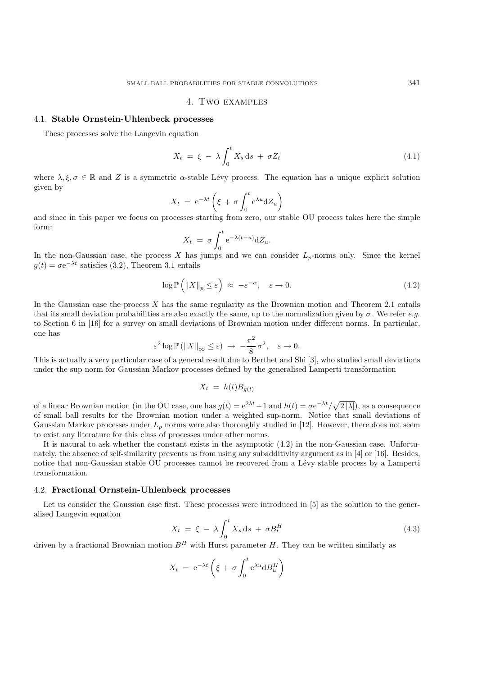# 4. Two examples

### 4.1. **Stable Ornstein-Uhlenbeck processes**

These processes solve the Langevin equation

$$
X_t = \xi - \lambda \int_0^t X_s \, \mathrm{d}s + \sigma Z_t \tag{4.1}
$$

where  $\lambda, \xi, \sigma \in \mathbb{R}$  and Z is a symmetric  $\alpha$ -stable Lévy process. The equation has a unique explicit solution given by

$$
X_t = e^{-\lambda t} \left( \xi + \sigma \int_0^t e^{\lambda u} dZ_u \right)
$$

and since in this paper we focus on processes starting from zero, our stable OU process takes here the simple form:

$$
X_t = \sigma \int_0^t e^{-\lambda(t-u)} dZ_u.
$$

In the non-Gaussian case, the process X has jumps and we can consider  $L_p$ -norms only. Since the kernel<br> $q(t) = \sigma e^{-\lambda t}$  satisfies (3.2) Theorem 3.1 entails  $g(t) = \sigma e^{-\lambda t}$  satisfies (3.2), Theorem 3.1 entails

$$
\log \mathbb{P}\left(\left\|X\right\|_p \leq \varepsilon\right) \approx -\varepsilon^{-\alpha}, \quad \varepsilon \to 0. \tag{4.2}
$$

In the Gaussian case the process  $X$  has the same regularity as the Brownian motion and Theorem 2.1 entails that its small deviation probabilities are also exactly the same, up to the normalization given by  $\sigma$ . We refer *e.g.* to Section 6 in [16] for a survey on small deviations of Brownian motion under different norms. In particular, one has

$$
\varepsilon^2 \log \mathbb{P}\left(\|X\|_{\infty} \leq \varepsilon\right) \ \to \ -\frac{\pi^2}{8}\,\sigma^2, \quad \varepsilon \to 0.
$$

This is actually a very particular case of a general result due to Berthet and Shi [3], who studied small deviations under the sup norm for Gaussian Markov processes defined by the generalised Lamperti transformation

$$
X_t = h(t)B_{g(t)}
$$

of a linear Brownian motion (in the OU case, one has  $g(t) = e^{2\lambda t}-1$  and  $h(t) = \sigma e^{-\lambda t}/\sqrt{2 |\lambda|}$ ), as a consequence<br>of small hall results for the Brownian motion under a weighted sup-norm. Notice that small deviations of of small ball results for the Brownian motion under a weighted sup-norm. Notice that small deviations of Gaussian Markov processes under  $L_p$  norms were also thoroughly studied in [12]. However, there does not seem to exist any literature for this class of processes under other norms.

It is natural to ask whether the constant exists in the asymptotic (4.2) in the non-Gaussian case. Unfortunately, the absence of self-similarity prevents us from using any subadditivity argument as in [4] or [16]. Besides, notice that non-Gaussian stable OU processes cannot be recovered from a Lévy stable process by a Lamperti transformation.

### 4.2. **Fractional Ornstein-Uhlenbeck processes**

Let us consider the Gaussian case first. These processes were introduced in [5] as the solution to the generalised Langevin equation

$$
X_t = \xi - \lambda \int_0^t X_s \, \mathrm{d}s + \sigma B_t^H \tag{4.3}
$$

driven by a fractional Brownian motion  $B<sup>H</sup>$  with Hurst parameter H. They can be written similarly as

$$
X_t = e^{-\lambda t} \left( \xi + \sigma \int_0^t e^{\lambda u} dB_u^H \right)
$$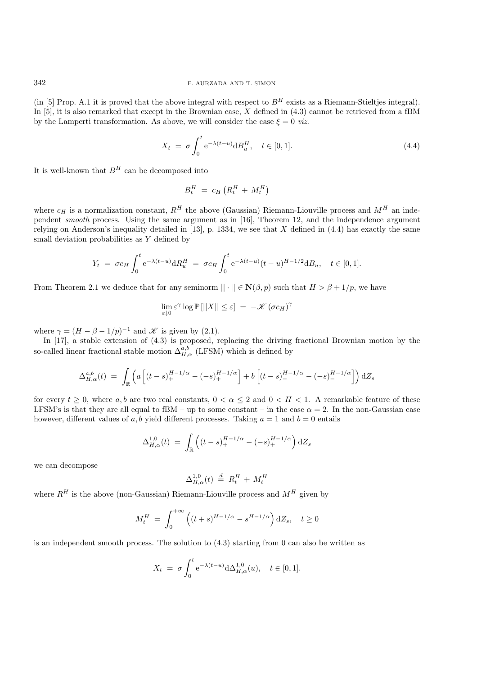(in [5] Prop. A.1 it is proved that the above integral with respect to  $B^H$  exists as a Riemann-Stieltjes integral). In [5], it is also remarked that except in the Brownian case,  $\overline{X}$  defined in (4.3) cannot be retrieved from a fBM by the Lamperti transformation. As above, we will consider the case  $\xi = 0$  *viz.* 

$$
X_t = \sigma \int_0^t e^{-\lambda(t-u)} dH_u^H, \quad t \in [0,1].
$$
\n(4.4)

It is well-known that  $B^{\mathcal{H}}$  can be decomposed into

$$
B_t^H = c_H \left( R_t^H + M_t^H \right)
$$

where  $c_H$  is a normalization constant,  $R^H$  the above (Gaussian) Riemann-Liouville process and  $M^H$  an independent *smooth* process. Using the same argument as in [16], Theorem 12, and the independence argument relying on Anderson's inequality detailed in [13], p. 1334, we see that X defined in  $(4.4)$  has exactly the same small deviation probabilities as Y defined by

$$
Y_t = \sigma c_H \int_0^t e^{-\lambda(t-u)} dR_u^H = \sigma c_H \int_0^t e^{-\lambda(t-u)} (t-u)^{H-1/2} dR_u, \quad t \in [0,1].
$$

From Theorem 2.1 we deduce that for any seminorm  $|| \cdot || \in \mathbf{N}(\beta, p)$  such that  $H > \beta + 1/p$ , we have

$$
\lim_{\varepsilon \downarrow 0} \varepsilon^{\gamma} \log \mathbb{P}[||X|| \le \varepsilon] = -\mathscr{K} (\sigma c_H)^{\gamma}
$$

where  $\gamma = (H - \beta - 1/p)^{-1}$  and *K* is given by (2.1).

In [17], a stable extension of (4.3) is proposed, replacing the driving fractional Brownian motion by the so-called linear fractional stable motion  $\Delta_{H,\alpha}^{a,b}$  (LFSM) which is defined by

$$
\Delta_{H,\alpha}^{a,b}(t) = \int_{\mathbb{R}} \left( a \left[ (t-s)_{+}^{H-1/\alpha} - (-s)_{+}^{H-1/\alpha} \right] + b \left[ (t-s)_{-}^{H-1/\alpha} - (-s)_{-}^{H-1/\alpha} \right] \right) dZ_{s}
$$

for every  $t \geq 0$ , where a, b are two real constants,  $0 < \alpha \leq 2$  and  $0 < H < 1$ . A remarkable feature of these LFSM's is that they are all equal to fBM – up to some constant – in the case  $\alpha = 2$ . In the non-Gaussian case however, different values of a, b yield different processes. Taking  $a = 1$  and  $b = 0$  entails

$$
\Delta_{H,\alpha}^{1,0}(t) = \int_{\mathbb{R}} \left( (t-s)_+^{H-1/\alpha} - (-s)_+^{H-1/\alpha} \right) dZ_s
$$

we can decompose

$$
\Delta_{H,\alpha}^{1,0}(t) \stackrel{d}{=} R_t^H + M_t^H
$$

where  $R^H$  is the above (non-Gaussian) Riemann-Liouville process and  $M^H$  given by

$$
M_t^H = \int_0^{+\infty} \left( (t+s)^{H-1/\alpha} - s^{H-1/\alpha} \right) dZ_s, \quad t \ge 0
$$

is an independent smooth process. The solution to  $(4.3)$  starting from 0 can also be written as

$$
X_t = \sigma \int_0^t e^{-\lambda(t-u)} d\Delta_{H,\alpha}^{1,0}(u), \quad t \in [0,1].
$$